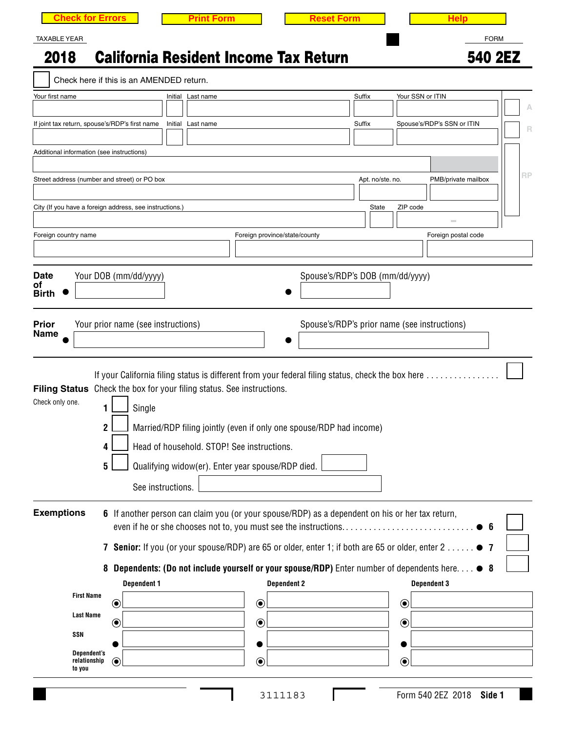| <b>Check for Errors</b>                                                                                                             | <b>Print Form</b>                                                                                                                                                                                                                                                                                                                                                                                                                           | <b>Reset Form</b>                            | <b>Help</b>                              |
|-------------------------------------------------------------------------------------------------------------------------------------|---------------------------------------------------------------------------------------------------------------------------------------------------------------------------------------------------------------------------------------------------------------------------------------------------------------------------------------------------------------------------------------------------------------------------------------------|----------------------------------------------|------------------------------------------|
| <b>TAXABLE YEAR</b>                                                                                                                 |                                                                                                                                                                                                                                                                                                                                                                                                                                             |                                              | <b>FORM</b>                              |
| 2018                                                                                                                                | <b>California Resident Income Tax Return</b>                                                                                                                                                                                                                                                                                                                                                                                                |                                              | 540 2EZ                                  |
| Check here if this is an AMENDED return.<br>Your first name                                                                         | Initial Last name                                                                                                                                                                                                                                                                                                                                                                                                                           | Suffix                                       | Your SSN or ITIN                         |
|                                                                                                                                     |                                                                                                                                                                                                                                                                                                                                                                                                                                             |                                              |                                          |
| If joint tax return, spouse's/RDP's first name                                                                                      | Initial Last name                                                                                                                                                                                                                                                                                                                                                                                                                           | Suffix                                       | Spouse's/RDP's SSN or ITIN<br>R          |
| Additional information (see instructions)                                                                                           |                                                                                                                                                                                                                                                                                                                                                                                                                                             |                                              |                                          |
|                                                                                                                                     |                                                                                                                                                                                                                                                                                                                                                                                                                                             |                                              | RP                                       |
| Street address (number and street) or PO box                                                                                        |                                                                                                                                                                                                                                                                                                                                                                                                                                             | Apt. no/ste. no.                             | PMB/private mailbox                      |
| City (If you have a foreign address, see instructions.)                                                                             |                                                                                                                                                                                                                                                                                                                                                                                                                                             | State                                        | ZIP code                                 |
| Foreign country name                                                                                                                | Foreign province/state/county                                                                                                                                                                                                                                                                                                                                                                                                               |                                              | $\sim$<br>Foreign postal code            |
|                                                                                                                                     |                                                                                                                                                                                                                                                                                                                                                                                                                                             |                                              |                                          |
| <b>Date</b>                                                                                                                         |                                                                                                                                                                                                                                                                                                                                                                                                                                             |                                              |                                          |
| Your DOB (mm/dd/yyyy)<br>οf<br><b>Birth</b>                                                                                         |                                                                                                                                                                                                                                                                                                                                                                                                                                             | Spouse's/RDP's DOB (mm/dd/yyyy)              |                                          |
|                                                                                                                                     |                                                                                                                                                                                                                                                                                                                                                                                                                                             |                                              |                                          |
| <b>Prior</b><br>Your prior name (see instructions)<br><b>Name</b>                                                                   |                                                                                                                                                                                                                                                                                                                                                                                                                                             | Spouse's/RDP's prior name (see instructions) |                                          |
|                                                                                                                                     |                                                                                                                                                                                                                                                                                                                                                                                                                                             |                                              |                                          |
| Filing Status Check the box for your filing status. See instructions.<br>Check only one.<br>1<br>Single<br>$\overline{2}$<br>4<br>5 | If your California filing status is different from your federal filing status, check the box here<br>Married/RDP filing jointly (even if only one spouse/RDP had income)<br>Head of household. STOP! See instructions.<br>Qualifying widow(er). Enter year spouse/RDP died.                                                                                                                                                                 |                                              |                                          |
| See instructions.                                                                                                                   |                                                                                                                                                                                                                                                                                                                                                                                                                                             |                                              |                                          |
| <b>Exemptions</b><br><b>Dependent 1</b><br><b>First Name</b><br>$\bf \odot$<br><b>Last Name</b><br>$\bf \widehat{\bm{C}}$<br>SSN    | 6 If another person can claim you (or your spouse/RDP) as a dependent on his or her tax return,<br>even if he or she chooses not to, you must see the instructions<br>7 Senior: If you (or your spouse/RDP) are 65 or older, enter 1; if both are 65 or older, enter 2 7<br>8 Dependents: (Do not include yourself or your spouse/RDP) Enter number of dependents here $\bullet$ 8<br><b>Dependent 2</b><br>$\circledbullet$<br>$\bf \odot$ |                                              | <b>Dependent 3</b><br>$\odot$<br>$\odot$ |
| Dependent's<br>relationship<br>◉<br>to you                                                                                          | $\odot$                                                                                                                                                                                                                                                                                                                                                                                                                                     |                                              | $\odot$                                  |

 $\mathcal{L}$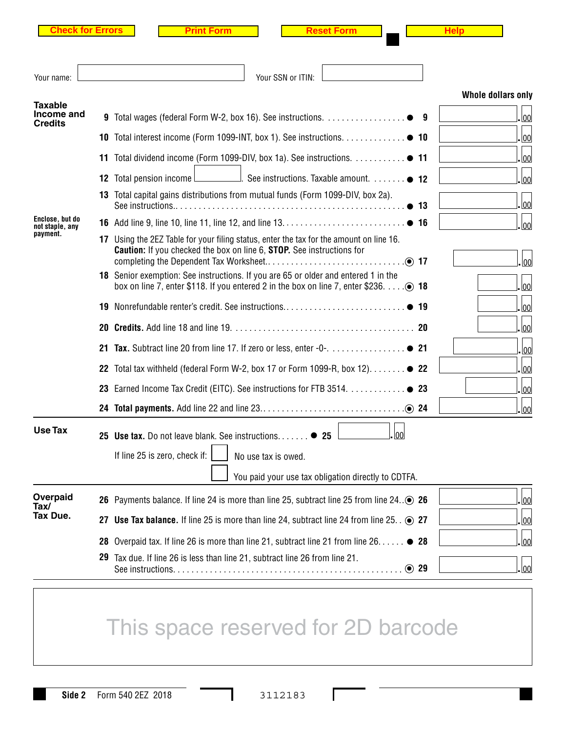|--|--|--|--|--|--|--|

**Print Form**  Reset Form **Help** 

| Your name:                         |    | Your SSN or ITIN:                                                                                                                                                                          |                    |
|------------------------------------|----|--------------------------------------------------------------------------------------------------------------------------------------------------------------------------------------------|--------------------|
| <b>Taxable</b><br>Income and       |    |                                                                                                                                                                                            | Whole dollars only |
| <b>Credits</b>                     |    |                                                                                                                                                                                            | 00                 |
|                                    |    | 10 Total interest income (Form 1099-INT, box 1). See instructions. 0 10                                                                                                                    | 00                 |
|                                    |    | 11 Total dividend income (Form 1099-DIV, box 1a). See instructions. 0 11                                                                                                                   | 00                 |
|                                    |    | See instructions. Taxable amount. ● 12<br><b>12</b> Total pension income l                                                                                                                 | 00                 |
|                                    |    | 13 Total capital gains distributions from mutual funds (Form 1099-DIV, box 2a).                                                                                                            | <u> 00</u>         |
| Enclose, but do<br>not staple, any |    |                                                                                                                                                                                            | 00                 |
| payment.                           |    | 17 Using the 2EZ Table for your filing status, enter the tax for the amount on line 16.<br><b>Caution:</b> If you checked the box on line 6, <b>STOP</b> . See instructions for            | lool               |
|                                    |    | 18 Senior exemption: See instructions. If you are 65 or older and entered 1 in the<br>box on line 7, enter \$118. If you entered 2 in the box on line 7, enter \$236. $\dots$ . $\odot$ 18 | 00                 |
|                                    |    |                                                                                                                                                                                            | 00                 |
|                                    | 20 |                                                                                                                                                                                            | 00                 |
|                                    | 21 | Tax. Subtract line 20 from line 17. If zero or less, enter -0-. ● 21                                                                                                                       | 00                 |
|                                    | 22 | Total tax withheld (federal Form W-2, box 17 or Form 1099-R, box 12). $\dots \dots \bullet$ 22                                                                                             | 00                 |
|                                    |    | 23 Earned Income Tax Credit (EITC). See instructions for FTB 3514.  23                                                                                                                     | 00                 |
|                                    |    |                                                                                                                                                                                            | 00                 |
| <b>Use Tax</b>                     |    | .lool<br>25 Use tax. Do not leave blank. See instructions <sup>2</sup> 25                                                                                                                  |                    |
|                                    |    | If line 25 is zero, check if: $\vert$<br>No use tax is owed.                                                                                                                               |                    |
|                                    |    | You paid your use tax obligation directly to CDTFA.                                                                                                                                        |                    |
| Overpaid<br>Tax/                   |    | 26 Payments balance. If line 24 is more than line 25, subtract line 25 from line $24\circledcirc$ 26                                                                                       | $\overline{00}$    |
| Tax Due.                           |    | 27 Use Tax balance. If line 25 is more than line 24, subtract line 24 from line 25. $\odot$ 27                                                                                             | 00                 |
|                                    | 28 | Overpaid tax. If line 26 is more than line 21, subtract line 21 from line $26$ $\bullet$ 28                                                                                                | 00                 |
|                                    | 29 | Tax due. If line 26 is less than line 21, subtract line 26 from line 21.<br>⊙ 29                                                                                                           | 00                 |

## This space reserved for 2D barcode

**Side 2** Form 540 2EZ 2018 3112183

I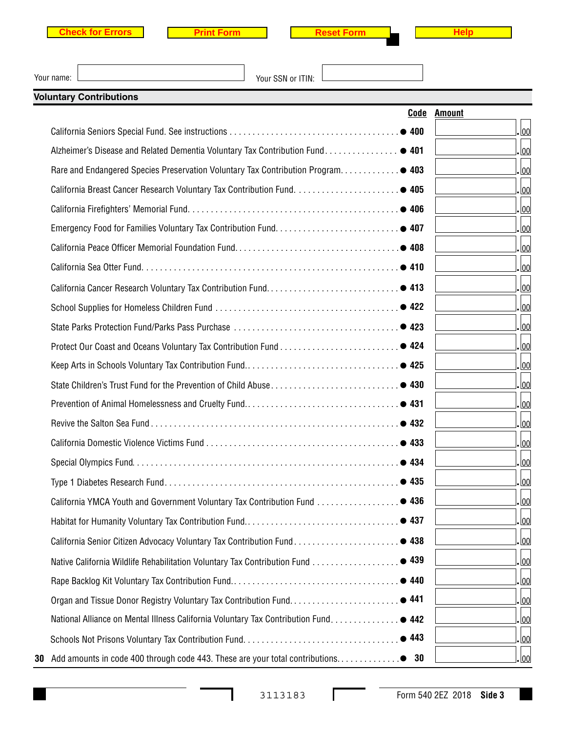| <b>Check for Errors</b> |  |  |  |  |  |  |
|-------------------------|--|--|--|--|--|--|
|-------------------------|--|--|--|--|--|--|



| Your name: |  |
|------------|--|

Your SSN or ITIN:

| <b>Voluntary Contributions</b>                                                        |                       |                         |
|---------------------------------------------------------------------------------------|-----------------------|-------------------------|
|                                                                                       | Code<br><b>Amount</b> |                         |
|                                                                                       |                       | lool.                   |
| Alzheimer's Disease and Related Dementia Voluntary Tax Contribution Fund. ● 401       |                       | . <u>lool</u>           |
| Rare and Endangered Species Preservation Voluntary Tax Contribution Program● 403      |                       | <u>lool</u>             |
|                                                                                       |                       | . <u>lool</u>           |
|                                                                                       |                       | <u> 00</u>              |
|                                                                                       |                       | . <u>lool</u>           |
|                                                                                       |                       | lool.                   |
|                                                                                       |                       | . lool                  |
|                                                                                       |                       | .lool                   |
|                                                                                       |                       | . lool                  |
|                                                                                       |                       | . lool                  |
|                                                                                       |                       | . lool                  |
|                                                                                       |                       | .lool                   |
|                                                                                       |                       | . lool                  |
|                                                                                       |                       | lool.                   |
|                                                                                       |                       | . lool                  |
|                                                                                       |                       | . 00                    |
|                                                                                       |                       | . 00                    |
|                                                                                       |                       | . 00                    |
| California YMCA Youth and Government Voluntary Tax Contribution Fund                  | 436                   | $\frac{ 00 }{\sqrt{2}}$ |
|                                                                                       |                       | 00                      |
|                                                                                       |                       | 00                      |
| Native California Wildlife Rehabilitation Voluntary Tax Contribution Fund ● 439       |                       | 00                      |
|                                                                                       |                       | 00                      |
|                                                                                       |                       | 00                      |
| National Alliance on Mental Illness California Voluntary Tax Contribution Fund. ● 442 |                       | 00                      |
|                                                                                       |                       | 00                      |
| 30                                                                                    |                       | . 00                    |

Г